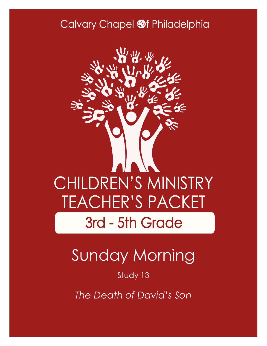### Calvary Chapel @f Philadelphia



# Sunday Morning

Study 13

*The Death of David's Son*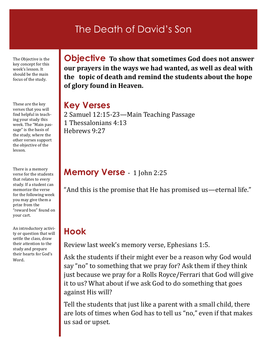### The Death of David's Son

The Objective is the key concept for this week's lesson. It should be the main focus of the study.

These are the key verses that you will find helpful in teaching your study this week. The "Main passage" is the basis of the study, where the other verses support the objective of the lesson.

There is a memory verse for the students that relates to every study. If a student can memorize the verse for the following week you may give them a prize from the "reward box" found on your cart.

An introductory activity or question that will settle the class, draw their attention to the study and prepare their hearts for God's Word.

**Objective To show that sometimes God does not answer our prayers in the ways we had wanted, as well as deal with the topic of death and remind the students about the hope of glory found in Heaven.**

### **Key Verses**

2 Samuel 12:15-23—Main Teaching Passage 1 Thessalonians 4:13 Hebrews 9:27

### **Memory Verse** - 1 John 2:25

"And this is the promise that He has promised us—eternal life."

### **Hook**

Review last week's memory verse, Ephesians 1:5.

Ask the students if their might ever be a reason why God would say "no" to something that we pray for? Ask them if they think just because we pray for a Rolls Royce/Ferrari that God will give it to us? What about if we ask God to do something that goes against His will?

Tell the students that just like a parent with a small child, there are lots of times when God has to tell us "no," even if that makes us sad or upset.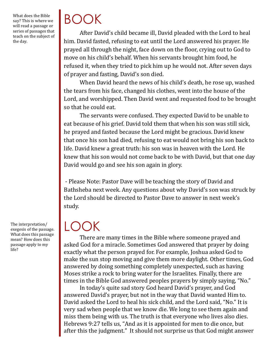What does the Bible say? This is where we will read a passage or series of passages that teach on the subject of the day.

# BOOK

After David's child became ill, David pleaded with the Lord to heal him. David fasted, refusing to eat until the Lord answered his prayer. He prayed all through the night, face down on the floor, crying out to God to move on his child's behalf. When his servants brought him food, he refused it, when they tried to pick him up he would not. After seven days of prayer and fasting, David's son died.

When David heard the news of his child's death, he rose up, washed the tears from his face, changed his clothes, went into the house of the Lord, and worshipped. Then David went and requested food to be brought so that he could eat.

The servants were confused. They expected David to be unable to eat because of his grief. David told them that when his son was still sick, he prayed and fasted because the Lord might be gracious. David knew that once his son had died, refusing to eat would not bring his son back to life. David knew a great truth: his son was in heaven with the Lord. He knew that his son would not come back to be with David, but that one day David would go and see his son again in glory.

- Please Note: Pastor Dave will be teaching the story of David and Bathsheba next week. Any questions about why David's son was struck by the Lord should be directed to Pastor Dave to answer in next week's study.

## LOOK

There are many times in the Bible where someone prayed and asked God for a miracle. Sometimes God answered that prayer by doing exactly what the person prayed for. For example, Joshua asked God to make the sun stop moving and give them more daylight. Other times, God answered by doing something completely unexpected, such as having Moses strike a rock to bring water for the Israelites. Finally, there are times in the Bible God answered peoples prayers by simply saying, "No."

In today's quite sad story God heard David's prayer, and God answered David's prayer, but not in the way that David wanted Him to. David asked the Lord to heal his sick child, and the Lord said, "No." It is very sad when people that we know die. We long to see them again and miss them being with us. The truth is that everyone who lives also dies. Hebrews 9:27 tells us, "And as it is appointed for men to die once, but after this the judgment." It should not surprise us that God might answer

The interpretation/ exegesis of the passage. What does this passage mean? How does this passage apply to my life?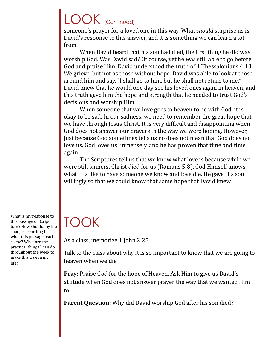## LOOK (Continued)

someone's prayer for a loved one in this way. What *should* surprise us is David's response to this answer, and it is something we can learn a lot from.

When David heard that his son had died, the first thing he did was worship God. Was David sad? Of course, yet he was still able to go before God and praise Him. David understood the truth of 1 Thessalonians 4:13. We grieve, but not as those without hope. David was able to look at those around him and say, "I shall go to him, but he shall not return to me." David knew that he would one day see his loved ones again in heaven, and this truth gave him the hope and strength that he needed to trust God's decisions and worship Him.

When someone that we love goes to heaven to be with God, it is okay to be sad. In our sadness, we need to remember the great hope that we have through Jesus Christ. It is very difficult and disappointing when God does not answer our prayers in the way we were hoping. However, just because God sometimes tells us no does not mean that God does not love us. God loves us immensely, and he has proven that time and time again.

The Scriptures tell us that we know what love is because while we were still sinners, Christ died for us (Romans 5:8). God Himself knows what it is like to have someone we know and love die. He gave His son willingly so that we could know that same hope that David knew.

What is my response to this passage of Scripture? How should my life change according to what this passage teaches me? What are the practical things I can do throughout the week to make this true in my life?

## TOOK

As a class, memorize 1 John 2:25.

Talk to the class about why it is so important to know that we are going to heaven when we die.

**Pray:** Praise God for the hope of Heaven. Ask Him to give us David's attitude when God does not answer prayer the way that we wanted Him to.

**Parent Question:** Why did David worship God after his son died?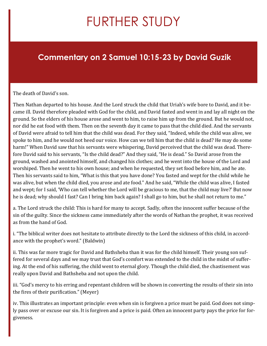## FURTHER STUDY

### **Commentary on 2 Samuel 10:15-23 by David Guzik**

#### The death of David's son.

Then Nathan departed to his house. And the Lord struck the child that Uriah's wife bore to David, and it became ill. David therefore pleaded with God for the child, and David fasted and went in and lay all night on the ground. So the elders of his house arose and went to him, to raise him up from the ground. But he would not, nor did he eat food with them. Then on the seventh day it came to pass that the child died. And the servants of David were afraid to tell him that the child was dead. For they said, "Indeed, while the child was alive, we spoke to him, and he would not heed our voice. How can we tell him that the child is dead? He may do some harm!" When David saw that his servants were whispering, David perceived that the child was dead. Therefore David said to his servants, "Is the child dead?" And they said, "He is dead." So David arose from the ground, washed and anointed himself, and changed his clothes; and he went into the house of the Lord and worshiped. Then he went to his own house; and when he requested, they set food before him, and he ate. Then his servants said to him, "What is this that you have done? You fasted and wept for the child while he was alive, but when the child died, you arose and ate food." And he said, "While the child was alive, I fasted and wept; for I said, 'Who can tell whether the Lord will be gracious to me, that the child may live?' But now he is dead; why should I fast? Can I bring him back again? I shall go to him, but he shall not return to me."

a. The Lord struck the child: This is hard for many to accept. Sadly, often the innocent suffer because of the sin of the guilty. Since the sickness came immediately after the words of Nathan the prophet, it was received as from the hand of God.

i. "The biblical writer does not hesitate to attribute directly to the Lord the sickness of this child, in accordance with the prophet's word." (Baldwin)

ii. This was far more tragic for David and Bathsheba than it was for the child himself. Their young son suffered for several days and we may trust that God's comfort was extended to the child in the midst of suffering. At the end of his suffering, the child went to eternal glory. Though the child died, the chastisement was really upon David and Bathsheba and not upon the child.

iii. "God's mercy to his erring and repentant children will be shown in converting the results of their sin into the fires of their purification." (Meyer)

iv. This illustrates an important principle: even when sin is forgiven a price must be paid. God does not simply pass over or excuse our sin. It is forgiven and a price is paid. Often an innocent party pays the price for forgiveness.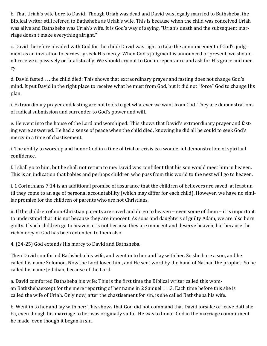b. That Uriah's wife bore to David: Though Uriah was dead and David was legally married to Bathsheba, the Biblical writer still refered to Bathsheba as Uriah's wife. This is because when the child was conceived Uriah was alive and Bathsheba was Uriah's wife. It is God's way of saying, "Uriah's death and the subsequent marriage doesn't make everything alright."

c. David therefore pleaded with God for the child: David was right to take the announcement of God's judgment as an invitation to earnestly seek His mercy. When God's judgment is announced or present, we shouldn't receive it passively or fatalistically. We should cry out to God in repentance and ask for His grace and mercy.

d. David fasted . . . the child died: This shows that extraordinary prayer and fasting does not change God's mind. It put David in the right place to receive what he must from God, but it did not "force" God to change His plan.

i. Extraordinary prayer and fasting are not tools to get whatever we want from God. They are demonstrations of radical submission and surrender to God's power and will.

e. He went into the house of the Lord and worshiped: This shows that David's extraordinary prayer and fasting were answered. He had a sense of peace when the child died, knowing he did all he could to seek God's mercy in a time of chastisement.

i. The ability to worship and honor God in a time of trial or crisis is a wonderful demonstration of spiritual confidence.

f. I shall go to him, but he shall not return to me: David was confident that his son would meet him in heaven. This is an indication that babies and perhaps children who pass from this world to the next will go to heaven.

i. 1 Corinthians 7:14 is an additional promise of assurance that the children of believers are saved, at least until they come to an age of personal accountability (which may differ for each child). However, we have no similar promise for the children of parents who are not Christians.

ii. If the children of non-Christian parents are saved and do go to heaven – even some of them – it is important to understand that it is not because they are innocent. As sons and daughters of guilty Adam, we are also born guilty. If such children go to heaven, it is not because they are innocent and deserve heaven, but because the rich mercy of God has been extended to them also.

4. (24-25) God extends His mercy to David and Bathsheba.

Then David comforted Bathsheba his wife, and went in to her and lay with her. So she bore a son, and he called his name Solomon. Now the Lord loved him, and He sent word by the hand of Nathan the prophet: So he called his name Jedidiah, because of the Lord.

a. David comforted Bathsheba his wife: This is the first time the Biblical writer called this woman Bathshebaexcept for the mere reporting of her name in 2 Samuel 11:3. Each time before this she is called the wife of Uriah. Only now, after the chastisement for sin, is she called Bathsheba his wife.

b. Went in to her and lay with her: This shows that God did not command that David forsake or leave Bathsheba, even though his marriage to her was originally sinful. He was to honor God in the marriage commitment he made, even though it began in sin.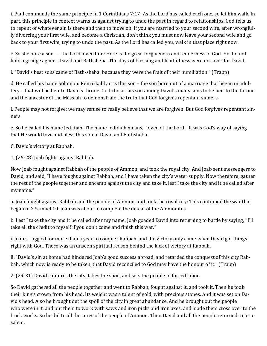i. Paul commands the same principle in 1 Corinthians 7:17: As the Lord has called each one, so let him walk. In part, this principle in context warns us against trying to undo the past in regard to relationships. God tells us to repent of whatever sin is there and then to move on. If you are married to your second wife, after wrongfully divorcing your first wife, and become a Christian, don't think you must now leave your second wife and go back to your first wife, trying to undo the past. As the Lord has called you, walk in that place right now.

c. So she bore a son . . . the Lord loved him: Here is the great forgiveness and tenderness of God. He did not hold a grudge against David and Bathsheba. The days of blessing and fruitfulness were not over for David.

i. "David's best sons came of Bath-sheba; because they were the fruit of their humiliation." (Trapp)

d. He called his name Solomon: Remarkably it is this son – the son born out of a marriage that began in adultery – that will be heir to David's throne. God chose this son among David's many sons to be heir to the throne and the ancestor of the Messiah to demonstrate the truth that God forgives repentant sinners.

i. People may not forgive; we may refuse to really believe that we are forgiven. But God forgives repentant sinners.

e. So he called his name Jedidiah: The name Jedidiah means, "loved of the Lord." It was God's way of saying that He would love and bless this son of David and Bathsheba.

C. David's victory at Rabbah.

1. (26-28) Joab fights against Rabbah.

Now Joab fought against Rabbah of the people of Ammon, and took the royal city. And Joab sent messengers to David, and said, "I have fought against Rabbah, and I have taken the city's water supply. Now therefore, gather the rest of the people together and encamp against the city and take it, lest I take the city and it be called after my name."

a. Joab fought against Rabbah and the people of Ammon, and took the royal city: This continued the war that began in 2 Samuel 10. Joab was about to complete the defeat of the Ammonites.

b. Lest I take the city and it be called after my name: Joab goaded David into returning to battle by saying, "I'll take all the credit to myself if you don't come and finish this war."

i. Joab struggled for more than a year to conquer Rabbah, and the victory only came when David got things right with God. There was an unseen spiritual reason behind the lack of victory at Rabbah.

ii. "David's sin at home had hindered Joab's good success abroad, and retarded the conquest of this city Rabbah, which now is ready to be taken, that David reconciled to God may have the honour of it." (Trapp)

2. (29-31) David captures the city, takes the spoil, and sets the people to forced labor.

So David gathered all the people together and went to Rabbah, fought against it, and took it. Then he took their king's crown from his head. Its weight was a talent of gold, with precious stones. And it was set on David's head. Also he brought out the spoil of the city in great abundance. And he brought out the people who were in it, and put them to work with saws and iron picks and iron axes, and made them cross over to the brick works. So he did to all the cities of the people of Ammon. Then David and all the people returned to Jerusalem.